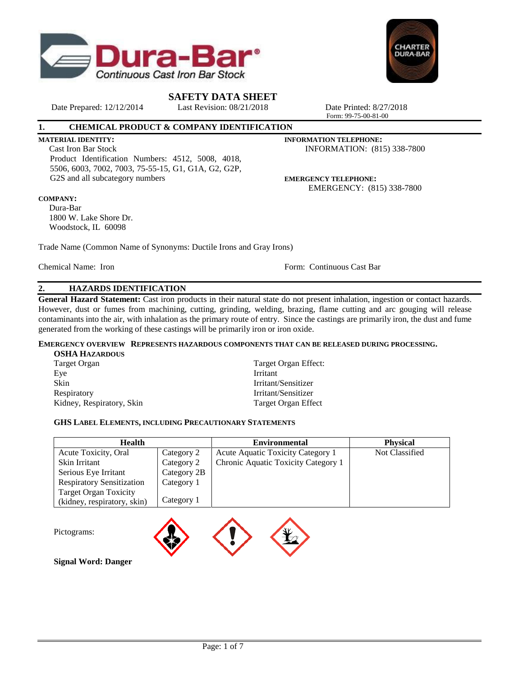



**SAFETY DATA SHEET**<br>Last Revision: 08/21/2018 Date Prepared: 12/12/2014 Last Revision: 08/21/2018 Date Printed: 8/27/2018

# **1. CHEMICAL PRODUCT & COMPANY IDENTIFICATION**

**MATERIAL IDENTITY:**

 Cast Iron Bar Stock Product Identification Numbers: 4512, 5008, 4018, 5506, 6003, 7002, 7003, 75-55-15, G1, G1A, G2, G2P, G2S and all subcategory numbers

## **COMPANY:**

 Dura-Bar 1800 W. Lake Shore Dr. Woodstock, IL 60098

Trade Name (Common Name of Synonyms: Ductile Irons and Gray Irons)

Chemical Name: Iron Form: Continuous Cast Bar

**INFORMATION TELEPHONE:**

**EMERGENCY TELEPHONE:**

Form: 99-75-00-81-00

INFORMATION: (815) 338-7800

EMERGENCY: (815) 338-7800

# **2. HAZARDS IDENTIFICATION**

**General Hazard Statement:** Cast iron products in their natural state do not present inhalation, ingestion or contact hazards. However, dust or fumes from machining, cutting, grinding, welding, brazing, flame cutting and arc gouging will release contaminants into the air, with inhalation as the primary route of entry. Since the castings are primarily iron, the dust and fume generated from the working of these castings will be primarily iron or iron oxide.

# **EMERGENCY OVERVIEW REPRESENTS HAZARDOUS COMPONENTS THAT CAN BE RELEASED DURING PROCESSING.**

**OSHA HAZARDOUS** Target Organ Target Organ Effect: Eye Irritant Skin Irritant/Sensitizer Respiratory Irritant/Sensitizer

Kidney, Respiratory, Skin Target Organ Effect

## **GHS LABEL ELEMENTS, INCLUDING PRECAUTIONARY STATEMENTS**

| <b>Health</b>                    |             | <b>Environmental</b>                | <b>Physical</b> |
|----------------------------------|-------------|-------------------------------------|-----------------|
| Acute Toxicity, Oral             | Category 2  | Acute Aquatic Toxicity Category 1   | Not Classified  |
| Skin Irritant                    | Category 2  | Chronic Aquatic Toxicity Category 1 |                 |
| Serious Eye Irritant             | Category 2B |                                     |                 |
| <b>Respiratory Sensitization</b> | Category 1  |                                     |                 |
| <b>Target Organ Toxicity</b>     |             |                                     |                 |
| (kidney, respiratory, skin)      | Category 1  |                                     |                 |



**Signal Word: Danger**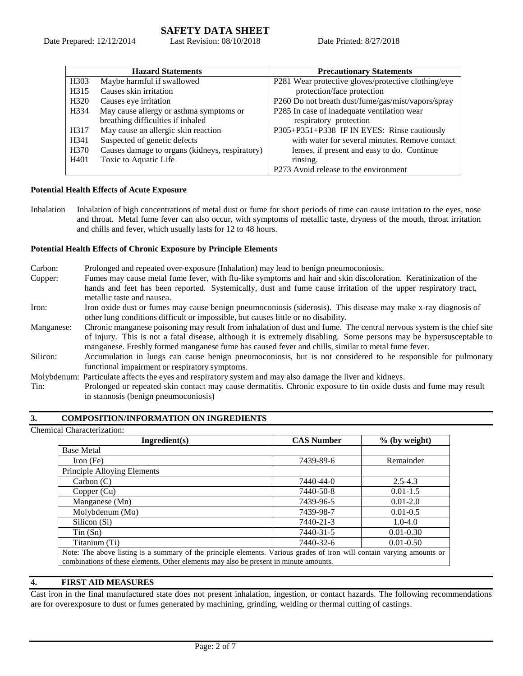Date Prepared: 12/12/2014 Last Revision: 08/10/2018 Date Printed: 8/27/2018

|                   | <b>Hazard Statements</b>                       | <b>Precautionary Statements</b>                     |
|-------------------|------------------------------------------------|-----------------------------------------------------|
| H <sub>3</sub> 03 | Maybe harmful if swallowed                     | P281 Wear protective gloves/protective clothing/eye |
| H315              | Causes skin irritation                         | protection/face protection                          |
| H320              | Causes eye irritation                          | P260 Do not breath dust/fume/gas/mist/vapors/spray  |
| H334              | May cause allergy or asthma symptoms or        | P285 In case of inadequate ventilation wear         |
|                   | breathing difficulties if inhaled              | respiratory protection                              |
| H317              | May cause an allergic skin reaction            | P305+P351+P338 IF IN EYES: Rinse cautiously         |
| H341              | Suspected of genetic defects                   | with water for several minutes. Remove contact      |
| H <sub>370</sub>  | Causes damage to organs (kidneys, respiratory) | lenses, if present and easy to do. Continue         |
| H401              | Toxic to Aquatic Life                          | rinsing.                                            |
|                   |                                                | P273 Avoid release to the environment               |

## **Potential Health Effects of Acute Exposure**

Inhalation Inhalation of high concentrations of metal dust or fume for short periods of time can cause irritation to the eyes, nose and throat. Metal fume fever can also occur, with symptoms of metallic taste, dryness of the mouth, throat irritation and chills and fever, which usually lasts for 12 to 48 hours.

## **Potential Health Effects of Chronic Exposure by Principle Elements**

| Carbon:    | Prolonged and repeated over-exposure (Inhalation) may lead to benign pneumoconiosis.                                  |
|------------|-----------------------------------------------------------------------------------------------------------------------|
| Copper:    | Fumes may cause metal fume fever, with flu-like symptoms and hair and skin discoloration. Keratinization of the       |
|            | hands and feet has been reported. Systemically, dust and fume cause irritation of the upper respiratory tract,        |
|            | metallic taste and nausea.                                                                                            |
| Iron:      | Iron oxide dust or fumes may cause benign pneumoconiosis (siderosis). This disease may make x-ray diagnosis of        |
|            | other lung conditions difficult or impossible, but causes little or no disability.                                    |
| Manganese: | Chronic manganese poisoning may result from inhalation of dust and fume. The central nervous system is the chief site |
|            | of injury. This is not a fatal disease, although it is extremely disabling. Some persons may be hypersusceptable to   |
|            | manganese. Freshly formed manganese fume has caused fever and chills, similar to metal fume fever.                    |
| Silicon:   | Accumulation in lungs can cause benign pneumoconiosis, but is not considered to be responsible for pulmonary          |
|            | functional impairment or respiratory symptoms.                                                                        |
|            | Molybdenum: Particulate affects the eyes and respiratory system and may also damage the liver and kidneys.            |
| Tin:       | Prolonged or repeated skin contact may cause dermatitis. Chronic exposure to tin oxide dusts and fume may result      |
|            | in stannosis (benign pneumoconiosis)                                                                                  |

## **3. COMPOSITION/INFORMATION ON INGREDIENTS**

Chemical Characterization:

| Ingradient(s)                                                                                                          | <b>CAS Number</b> | $%$ (by weight) |
|------------------------------------------------------------------------------------------------------------------------|-------------------|-----------------|
| <b>Base Metal</b>                                                                                                      |                   |                 |
| Iron $(Fe)$                                                                                                            | 7439-89-6         | Remainder       |
| Principle Alloying Elements                                                                                            |                   |                 |
| Carbon (C)                                                                                                             | 7440-44-0         | $2.5 - 4.3$     |
| Copper (Cu)                                                                                                            | 7440-50-8         | $0.01 - 1.5$    |
| Manganese (Mn)                                                                                                         | 7439-96-5         | $0.01 - 2.0$    |
| Molybdenum (Mo)                                                                                                        | 7439-98-7         | $0.01 - 0.5$    |
| Silicon (Si)                                                                                                           | 7440-21-3         | $1.0 - 4.0$     |
| $T$ in $(Sn)$                                                                                                          | 7440-31-5         | $0.01 - 0.30$   |
| Titanium (Ti)                                                                                                          | 7440-32-6         | $0.01 - 0.50$   |
| Note: The above listing is a summary of the principle elements. Various grades of iron will contain varying amounts or |                   |                 |

combinations of these elements. Other elements may also be present in minute amounts.

# **4. FIRST AID MEASURES**

Cast iron in the final manufactured state does not present inhalation, ingestion, or contact hazards. The following recommendations are for overexposure to dust or fumes generated by machining, grinding, welding or thermal cutting of castings.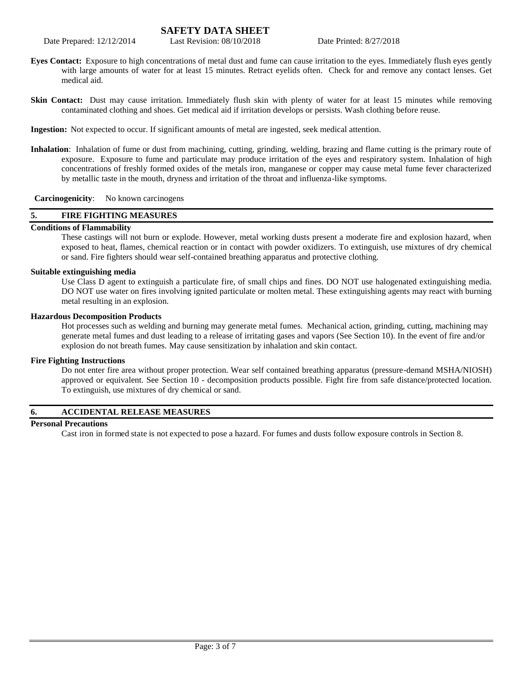Date Prepared: 12/12/2014 Last Revision: 08/10/2018 Date Printed: 8/27/2018

- **Eyes Contact:** Exposure to high concentrations of metal dust and fume can cause irritation to the eyes. Immediately flush eyes gently with large amounts of water for at least 15 minutes. Retract eyelids often. Check for and remove any contact lenses. Get medical aid.
- **Skin Contact:** Dust may cause irritation. Immediately flush skin with plenty of water for at least 15 minutes while removing contaminated clothing and shoes. Get medical aid if irritation develops or persists. Wash clothing before reuse.

**Ingestion:** Not expected to occur. If significant amounts of metal are ingested, seek medical attention.

**Inhalation**: Inhalation of fume or dust from machining, cutting, grinding, welding, brazing and flame cutting is the primary route of exposure. Exposure to fume and particulate may produce irritation of the eyes and respiratory system. Inhalation of high concentrations of freshly formed oxides of the metals iron, manganese or copper may cause metal fume fever characterized by metallic taste in the mouth, dryness and irritation of the throat and influenza-like symptoms.

## **Carcinogenicity**: No known carcinogens

## **5. FIRE FIGHTING MEASURES**

## **Conditions of Flammability**

These castings will not burn or explode. However, metal working dusts present a moderate fire and explosion hazard, when exposed to heat, flames, chemical reaction or in contact with powder oxidizers. To extinguish, use mixtures of dry chemical or sand. Fire fighters should wear self-contained breathing apparatus and protective clothing.

## **Suitable extinguishing media**

Use Class D agent to extinguish a particulate fire, of small chips and fines. DO NOT use halogenated extinguishing media. DO NOT use water on fires involving ignited particulate or molten metal. These extinguishing agents may react with burning metal resulting in an explosion.

## **Hazardous Decomposition Products**

Hot processes such as welding and burning may generate metal fumes. Mechanical action, grinding, cutting, machining may generate metal fumes and dust leading to a release of irritating gases and vapors (See Section 10). In the event of fire and/or explosion do not breath fumes. May cause sensitization by inhalation and skin contact.

## **Fire Fighting Instructions**

Do not enter fire area without proper protection. Wear self contained breathing apparatus (pressure-demand MSHA/NIOSH) approved or equivalent. See Section 10 - decomposition products possible. Fight fire from safe distance/protected location. To extinguish, use mixtures of dry chemical or sand.

# **6. ACCIDENTAL RELEASE MEASURES**

## **Personal Precautions**

Cast iron in formed state is not expected to pose a hazard. For fumes and dusts follow exposure controls in Section 8.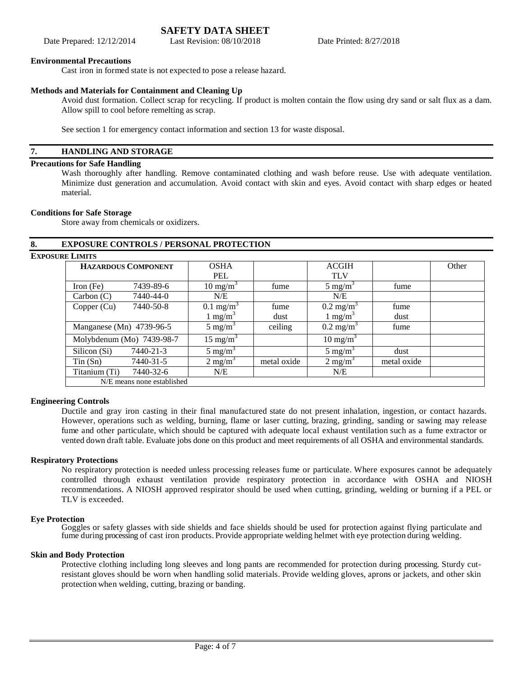Date Prepared: 12/12/2014 Last Revision: 08/10/2018 Date Printed: 8/27/2018

## **Environmental Precautions**

Cast iron in formed state is not expected to pose a release hazard.

## **Methods and Materials for Containment and Cleaning Up**

Avoid dust formation. Collect scrap for recycling. If product is molten contain the flow using dry sand or salt flux as a dam. Allow spill to cool before remelting as scrap.

See section 1 for emergency contact information and section 13 for waste disposal.

## **7. HANDLING AND STORAGE**

## **Precautions for Safe Handling**

Wash thoroughly after handling. Remove contaminated clothing and wash before reuse. Use with adequate ventilation. Minimize dust generation and accumulation. Avoid contact with skin and eyes. Avoid contact with sharp edges or heated material.

#### **Conditions for Safe Storage**

Store away from chemicals or oxidizers.

## **8. EXPOSURE CONTROLS / PERSONAL PROTECTION**

## **EXPOSURE LIMITS**

| <b>HAZARDOUS COMPONENT</b> | <b>OSHA</b>          |             | <b>ACGIH</b>         |             | Other |
|----------------------------|----------------------|-------------|----------------------|-------------|-------|
|                            | PEL                  |             | <b>TLV</b>           |             |       |
| 7439-89-6<br>Iron $(Fe)$   | $10 \text{ mg/m}^3$  | fume        | $5 \text{ mg/m}^3$   | fume        |       |
| 7440-44-0<br>Carbon (C)    | N/E                  |             | N/E                  |             |       |
| 7440-50-8<br>Copper (Cu)   | $0.1 \text{ mg/m}^3$ | fume        | $0.2 \text{ mg/m}^3$ | fume        |       |
|                            | 1 mg/m <sup>3</sup>  | dust        | 1 mg/m <sup>3</sup>  | dust        |       |
| Manganese (Mn) 4739-96-5   | $5 \text{ mg/m}^3$   | ceiling     | $0.2 \text{ mg/m}^3$ | fume        |       |
| Molybdenum (Mo) 7439-98-7  | 15 mg/m <sup>3</sup> |             | $10 \text{ mg/m}^3$  |             |       |
| 7440-21-3<br>Silicon (Si)  | 5 mg/m <sup>3</sup>  |             | $5 \text{ mg/m}^3$   | dust        |       |
| $T$ in $(Sn)$<br>7440-31-5 | $2 \text{ mg/m}^3$   | metal oxide | $2 \text{ mg/m}^3$   | metal oxide |       |
| Titanium (Ti)<br>7440-32-6 | N/E                  |             | N/E                  |             |       |
| N/E means none established |                      |             |                      |             |       |

## **Engineering Controls**

Ductile and gray iron casting in their final manufactured state do not present inhalation, ingestion, or contact hazards. However, operations such as welding, burning, flame or laser cutting, brazing, grinding, sanding or sawing may release fume and other particulate, which should be captured with adequate local exhaust ventilation such as a fume extractor or vented down draft table. Evaluate jobs done on this product and meet requirements of all OSHA and environmental standards.

## **Respiratory Protections**

No respiratory protection is needed unless processing releases fume or particulate. Where exposures cannot be adequately controlled through exhaust ventilation provide respiratory protection in accordance with OSHA and NIOSH recommendations. A NIOSH approved respirator should be used when cutting, grinding, welding or burning if a PEL or TLV is exceeded.

## **Eye Protection**

Goggles or safety glasses with side shields and face shields should be used for protection against flying particulate and fume during processing of cast iron products. Provide appropriate welding helmet with eye protection during welding.

## **Skin and Body Protection**

Protective clothing including long sleeves and long pants are recommended for protection during processing. Sturdy cutresistant gloves should be worn when handling solid materials. Provide welding gloves, aprons or jackets, and other skin protection when welding, cutting, brazing or banding.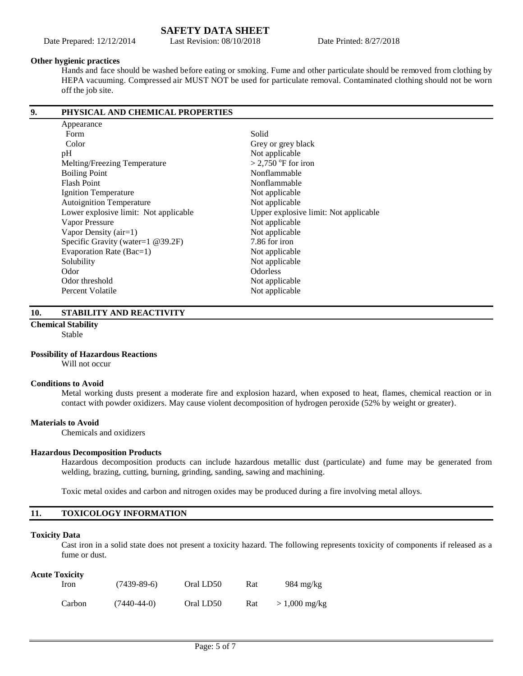Date Prepared: 12/12/2014 Last Revision: 08/10/2018 Date Printed: 8/27/2018

# **Other hygienic practices**

Hands and face should be washed before eating or smoking. Fume and other particulate should be removed from clothing by HEPA vacuuming. Compressed air MUST NOT be used for particulate removal. Contaminated clothing should not be worn off the job site.

| 9.<br>PHYSICAL AND CHEMICAL PROPERTIES |                                                 |                                       |
|----------------------------------------|-------------------------------------------------|---------------------------------------|
|                                        | Appearance                                      |                                       |
|                                        | Form                                            | Solid                                 |
|                                        | Color                                           | Grey or grey black                    |
|                                        | pH                                              | Not applicable                        |
|                                        | Melting/Freezing Temperature                    | $>$ 2,750 °F for iron                 |
|                                        | <b>Boiling Point</b>                            | Nonflammable                          |
|                                        | <b>Flash Point</b>                              | Nonflammable                          |
|                                        | <b>Ignition Temperature</b>                     | Not applicable                        |
|                                        | <b>Autoignition Temperature</b>                 | Not applicable                        |
|                                        | Lower explosive limit: Not applicable           | Upper explosive limit: Not applicable |
|                                        | Vapor Pressure                                  | Not applicable                        |
|                                        | Vapor Density $(air=1)$                         | Not applicable                        |
|                                        | Specific Gravity (water= $1 \text{ @ } 39.2F$ ) | 7.86 for iron                         |
|                                        | Evaporation Rate (Bac=1)                        | Not applicable                        |
|                                        | Solubility                                      | Not applicable                        |
|                                        | Odor                                            | <b>Odorless</b>                       |
|                                        | Odor threshold                                  | Not applicable                        |
|                                        | Percent Volatile                                | Not applicable                        |
|                                        |                                                 |                                       |

#### **10. STABILITY AND REACTIVITY**

# **Chemical Stability**

Stable

## **Possibility of Hazardous Reactions**

Will not occur

## **Conditions to Avoid**

Metal working dusts present a moderate fire and explosion hazard, when exposed to heat, flames, chemical reaction or in contact with powder oxidizers. May cause violent decomposition of hydrogen peroxide (52% by weight or greater).

## **Materials to Avoid**

Chemicals and oxidizers

## **Hazardous Decomposition Products**

Hazardous decomposition products can include hazardous metallic dust (particulate) and fume may be generated from welding, brazing, cutting, burning, grinding, sanding, sawing and machining.

Toxic metal oxides and carbon and nitrogen oxides may be produced during a fire involving metal alloys.

## **11. TOXICOLOGY INFORMATION**

## **Toxicity Data**

Cast iron in a solid state does not present a toxicity hazard. The following represents toxicity of components if released as a fume or dust.

## **Acute Toxicity**

| Iron   | $(7439-89-6)$     | Oral LD50 | Rat | 984 mg/kg      |
|--------|-------------------|-----------|-----|----------------|
| Carbon | $(7440 - 44 - 0)$ | Oral LD50 | Rat | $>1,000$ mg/kg |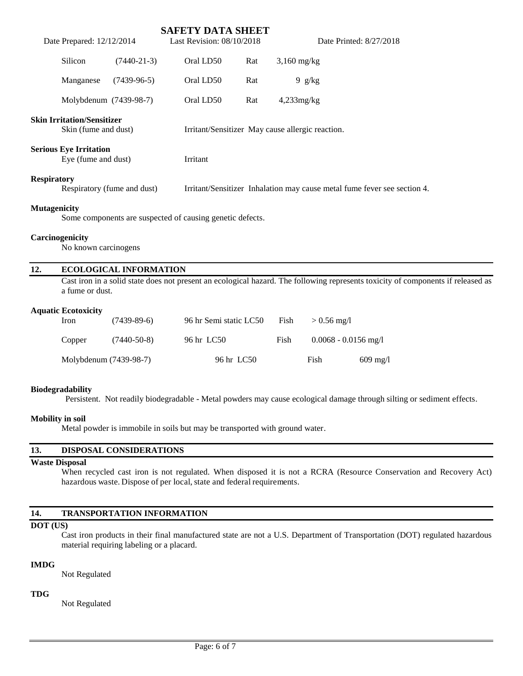|                     | Date Prepared: 12/12/2014                                 |               | <b>SAFETY DATA SHEET</b><br>Last Revision: 08/10/2018     |     |                                                  | Date Printed: 8/27/2018                                                  |
|---------------------|-----------------------------------------------------------|---------------|-----------------------------------------------------------|-----|--------------------------------------------------|--------------------------------------------------------------------------|
|                     | Silicon                                                   | $(7440-21-3)$ | Oral LD50                                                 | Rat | $3,160$ mg/kg                                    |                                                                          |
|                     | Manganese                                                 | $(7439-96-5)$ | Oral LD50                                                 | Rat | $9$ g/kg                                         |                                                                          |
|                     | Molybdenum (7439-98-7)                                    |               | Oral LD50                                                 | Rat | $4,233$ mg/kg                                    |                                                                          |
|                     | <b>Skin Irritation/Sensitizer</b><br>Skin (fume and dust) |               |                                                           |     | Irritant/Sensitizer May cause allergic reaction. |                                                                          |
|                     | <b>Serious Eye Irritation</b><br>Eye (fume and dust)      |               | Irritant                                                  |     |                                                  |                                                                          |
| <b>Respiratory</b>  | Respiratory (fume and dust)                               |               |                                                           |     |                                                  | Irritant/Sensitizer Inhalation may cause metal fume fever see section 4. |
| <b>Mutagenicity</b> |                                                           |               | Some components are suspected of causing genetic defects. |     |                                                  |                                                                          |
|                     | Carcinogenicity                                           |               |                                                           |     |                                                  |                                                                          |

No known carcinogens

## **12. ECOLOGICAL INFORMATION**

Cast iron in a solid state does not present an ecological hazard. The following represents toxicity of components if released as a fume or dust.

#### **Aquatic Ecotoxicity**

| Iron   | $(7439-89-6)$          | 96 hr Semi static LC50 | Fish | $> 0.56$ mg/l          |                    |
|--------|------------------------|------------------------|------|------------------------|--------------------|
| Copper | $(7440-50-8)$          | 96 hr LC50             | Fish | $0.0068 - 0.0156$ mg/l |                    |
|        | Molybdenum (7439-98-7) | 96 hr LC50             |      | Fish                   | $609 \text{ mg}/1$ |

## **Biodegradability**

Persistent. Not readily biodegradable - Metal powders may cause ecological damage through silting or sediment effects.

## **Mobility in soil**

Metal powder is immobile in soils but may be transported with ground water.

# **13. DISPOSAL CONSIDERATIONS**

## **Waste Disposal**

When recycled cast iron is not regulated. When disposed it is not a RCRA (Resource Conservation and Recovery Act) hazardous waste. Dispose of per local, state and federal requirements.

## **14. TRANSPORTATION INFORMATION**

#### **DOT (US)**

Cast iron products in their final manufactured state are not a U.S. Department of Transportation (DOT) regulated hazardous material requiring labeling or a placard.

## **IMDG**

Not Regulated

## **TDG**

Not Regulated